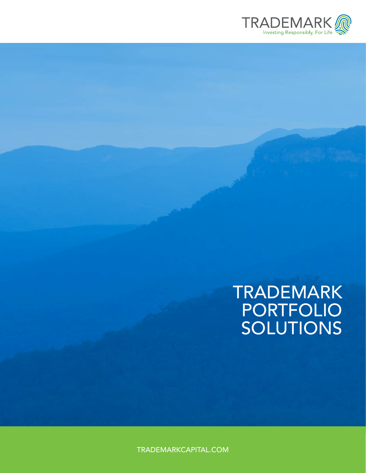

# TRADEMARK PORTFOLIO SOLUTIONS

TRADEMARKCAPITAL.COM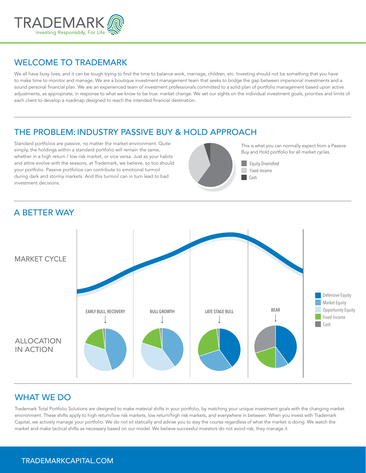

#### WELCOME TO TRADEMARK

We all have busy lives, and it can be tough trying to find the time to balance work, marriage, children, etc. Investing should not be something that you have to make time to monitor and manage. We are a boutique investment management team that seeks to bridge the gap between impersonal investments and a sound personal financial plan. We are an experienced team of investment professionals committed to a solid plan of portfolio management based upon active adjustments, as appropriate, in response to what we know to be true: market change. We set our sights on the individual investment goals, priorities and limits of each client to develop a roadmap designed to reach the intended financial destination.

## THE PROBLEM: INDUSTRY PASSIVE BUY & HOLD APPROACH

Standard portfolios are passive, no matter the market environment. Quite simply, the holdings within a standard portfolio will remain the same, whether in a high return / low risk market, or vice versa. Just as your habits and attire evolve with the seasons, at Trademark, we believe, so too should your portfolio. Passive portfolios can contribute to emotional turmoil during dark and stormy markets. And this turmoil can in turn lead to bad investment decisions.



This is what you can normally expect from a Passive Buy and Hold portfolio for all market cycles.

**Equity Diverisfied** Fixed Income

## A BETTER WAY



### WHAT WE DO

Trademark Total Portfolio Solutions are designed to make material shifts in your portfolio, by matching your unique investment goals with the changing market environment. These shifts apply to high return/low risk markets, low return/high risk markets, and everywhere in between. When you invest with Trademark Capital, we actively manage your portfolio. We do not sit statically and advise you to stay the course regardless of what the market is doing. We watch the market and make tactical shifts as necessary based on our model. We believe successful investors do not avoid risk, they manage it.

#### TRADEMARKCAPITAL.COM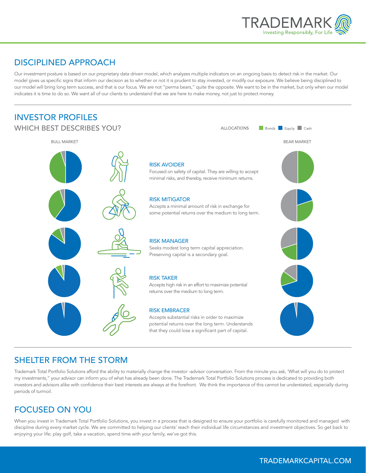

### DISCIPLINED APPROACH

Our investment posture is based on our proprietary data driven model, which analyzes multiple indicators on an ongoing basis to detect risk in the market. Our model gives us specific signs that inform our decision as to whether or not it is prudent to stay invested, or modify our exposure. We believe being disciplined to our model will bring long term success, and that is our focus. We are not "perma bears," quite the opposite. We want to be in the market, but only when our model indicates it is time to do so. We want all of our clients to understand that we are here to make money, not just to protect money.



### SHELTER FROM THE STORM

Trademark Total Portfolio Solutions afford the ability to materially change the investor -advisor conversation. From the minute you ask, 'What will you do to protect my investments," your advisor can inform you of what has already been done. The Trademark Total Portfolio Solutions process is dedicated to providing both investors and advisors alike with confidence their best interests are always at the forefront. We think the importance of this cannot be understated, especially during periods of turmoil.

# FOCUSED ON YOU

When you invest in Trademark Total Portfolio Solutions, you invest in a process that is designed to ensure your portfolio is carefully monitored and managed with discipline during every market cycle. We are committed to helping our clients' reach their individual life circumstances and investment objectives. So get back to enjoying your life; play golf, take a vacation, spend time with your family, we've got this.